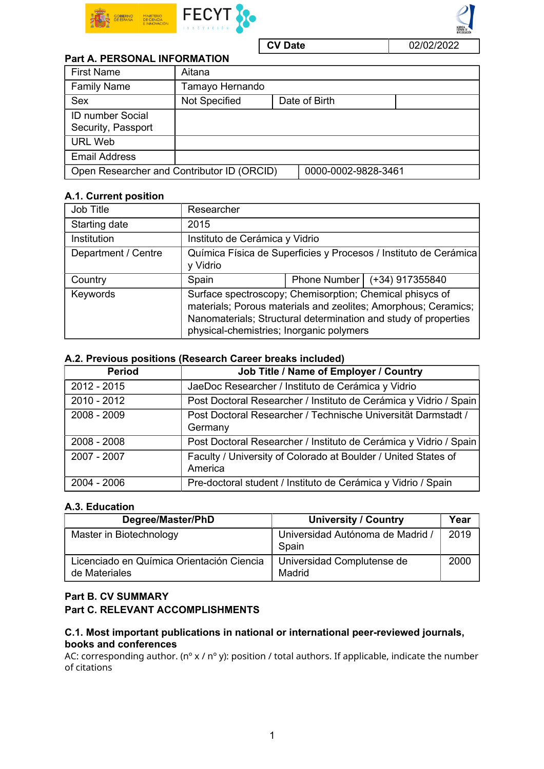



#### **CV Date** 02/02/2022

| <b>Part A. PERSONAL INFORMATION</b>        |                      |  |                     |  |  |  |  |
|--------------------------------------------|----------------------|--|---------------------|--|--|--|--|
| <b>First Name</b>                          | Aitana               |  |                     |  |  |  |  |
| <b>Family Name</b>                         | Tamayo Hernando      |  |                     |  |  |  |  |
| Sex                                        | <b>Not Specified</b> |  | Date of Birth       |  |  |  |  |
| <b>ID number Social</b>                    |                      |  |                     |  |  |  |  |
| Security, Passport                         |                      |  |                     |  |  |  |  |
| <b>URL Web</b>                             |                      |  |                     |  |  |  |  |
| <b>Email Address</b>                       |                      |  |                     |  |  |  |  |
| Open Researcher and Contributor ID (ORCID) |                      |  | 0000-0002-9828-3461 |  |  |  |  |

## A.1. Current position

| Job Title           | Researcher                                                                                           |  |                                                                                                                                   |  |
|---------------------|------------------------------------------------------------------------------------------------------|--|-----------------------------------------------------------------------------------------------------------------------------------|--|
| Starting date       | 2015                                                                                                 |  |                                                                                                                                   |  |
| Institution         | Instituto de Cerámica y Vidrio                                                                       |  |                                                                                                                                   |  |
| Department / Centre | Química Física de Superficies y Procesos / Instituto de Cerámica<br>y Vidrio                         |  |                                                                                                                                   |  |
| Country             | Spain                                                                                                |  | Phone Number   (+34) 917355840                                                                                                    |  |
| Keywords            | Surface spectroscopy; Chemisorption; Chemical phisycs of<br>physical-chemistries; Inorganic polymers |  | materials; Porous materials and zeolites; Amorphous; Ceramics;<br>Nanomaterials; Structural determination and study of properties |  |

### A.2. Previous positions (Research Career breaks included)

| <b>Period</b> | Job Title / Name of Employer / Country                                    |
|---------------|---------------------------------------------------------------------------|
| $2012 - 2015$ | JaeDoc Researcher / Instituto de Cerámica y Vidrio                        |
| $2010 - 2012$ | Post Doctoral Researcher / Instituto de Cerámica y Vidrio / Spain         |
| 2008 - 2009   | Post Doctoral Researcher / Technische Universität Darmstadt /<br>Germany  |
| $2008 - 2008$ | Post Doctoral Researcher / Instituto de Cerámica y Vidrio / Spain         |
| 2007 - 2007   | Faculty / University of Colorado at Boulder / United States of<br>America |
| 2004 - 2006   | Pre-doctoral student / Instituto de Cerámica y Vidrio / Spain             |

### A.3. Education

| Degree/Master/PhD                                          | <b>University / Country</b>               | Year |
|------------------------------------------------------------|-------------------------------------------|------|
| Master in Biotechnology                                    | Universidad Autónoma de Madrid /<br>Spain | 2019 |
| Licenciado en Química Orientación Ciencia<br>de Materiales | Universidad Complutense de<br>Madrid      | 2000 |

# Part B. CV SUMMARY Part C. RELEVANT ACCOMPLISHMENTS

# C.1. Most important publications in national or international peer-reviewed journals, books and conferences

AC: corresponding author. (n° x / n° y): position / total authors. If applicable, indicate the number of citations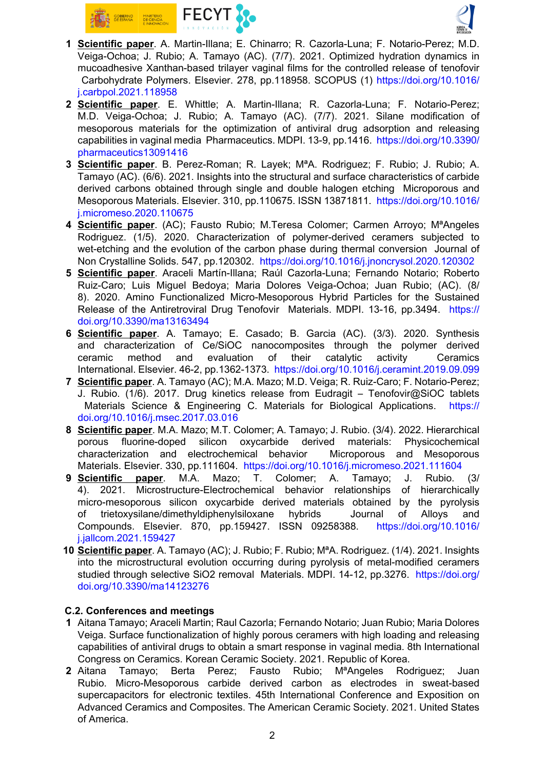



- 1 Scientific paper. A. Martin-Illana; E. Chinarro; R. Cazorla-Luna; F. Notario-Perez; M.D. Veiga-Ochoa; J. Rubio; A. Tamayo (AC). (7/7). 2021. Optimized hydration dynamics in mucoadhesive Xanthan-based trilayer vaginal films for the controlled release of tenofovir Carbohydrate Polymers. Elsevier. 278, pp.118958. SCOPUS (1) [https://doi.org/10.1016/](https://doi.org/10.1016/j.carbpol.2021.118958) [j.carbpol.2021.118958](https://doi.org/10.1016/j.carbpol.2021.118958)
- 2 Scientific paper. E. Whittle; A. Martin-Illana; R. Cazorla-Luna; F. Notario-Perez; M.D. Veiga-Ochoa; J. Rubio; A. Tamayo (AC). (7/7). 2021. Silane modification of mesoporous materials for the optimization of antiviral drug adsorption and releasing capabilities in vaginal media Pharmaceutics. MDPI. 13-9, pp.1416. [https://doi.org/10.3390/](https://doi.org/10.3390/pharmaceutics13091416) [pharmaceutics13091416](https://doi.org/10.3390/pharmaceutics13091416)
- 3 Scientific paper. B. Perez-Roman; R. Layek; MªA. Rodriguez; F. Rubio; J. Rubio; A. Tamayo (AC). (6/6). 2021. Insights into the structural and surface characteristics of carbide derived carbons obtained through single and double halogen etching Microporous and Mesoporous Materials. Elsevier. 310, pp.110675. ISSN 13871811. [https://doi.org/10.1016/](https://doi.org/10.1016/j.micromeso.2020.110675) [j.micromeso.2020.110675](https://doi.org/10.1016/j.micromeso.2020.110675)
- 4 Scientific paper. (AC); Fausto Rubio; M.Teresa Colomer; Carmen Arroyo; M<sup>a</sup>Angeles Rodriguez. (1/5). 2020. Characterization of polymer-derived ceramers subjected to wet-etching and the evolution of the carbon phase during thermal conversion Journal of Non Crystalline Solids. 547, pp.120302. <https://doi.org/10.1016/j.jnoncrysol.2020.120302>
- 5 Scientific paper. Araceli Martín-Illana; Raúl Cazorla-Luna; Fernando Notario; Roberto Ruiz-Caro; Luis Miguel Bedoya; Maria Dolores Veiga-Ochoa; Juan Rubio; (AC). (8/ 8). 2020. Amino Functionalized Micro-Mesoporous Hybrid Particles for the Sustained Release of the Antiretroviral Drug Tenofovir Materials. MDPI. 13-16, pp.3494. [https://](https://doi.org/10.3390/ma13163494) [doi.org/10.3390/ma13163494](https://doi.org/10.3390/ma13163494)
- 6 Scientific paper. A. Tamayo; E. Casado; B. Garcia (AC). (3/3). 2020. Synthesis and characterization of Ce/SiOC nanocomposites through the polymer derived ceramic method and evaluation of their catalytic activity Ceramics International. Elsevier. 46-2, pp.1362-1373. <https://doi.org/10.1016/j.ceramint.2019.09.099>
- 7 Scientific paper. A. Tamayo (AC); M.A. Mazo; M.D. Veiga; R. Ruiz-Caro; F. Notario-Perez; J. Rubio. (1/6). 2017. Drug kinetics release from Eudragit – Tenofovir@SiOC tablets Materials Science & Engineering C. Materials for Biological Applications. [https://](https://doi.org/10.1016/j.msec.2017.03.016) [doi.org/10.1016/j.msec.2017.03.016](https://doi.org/10.1016/j.msec.2017.03.016)
- 8 Scientific paper. M.A. Mazo; M.T. Colomer; A. Tamayo; J. Rubio. (3/4). 2022. Hierarchical porous fluorine-doped silicon oxycarbide derived materials: Physicochemical characterization and electrochemical behavior Microporous and Mesoporous Materials. Elsevier. 330, pp.111604. <https://doi.org/10.1016/j.micromeso.2021.111604>
- 9 Scientific paper. M.A. Mazo; T. Colomer; A. Tamayo; J. Rubio. (3/ 4). 2021. Microstructure-Electrochemical behavior relationships of hierarchically micro-mesoporous silicon oxycarbide derived materials obtained by the pyrolysis of trietoxysilane/dimethyldiphenylsiloxane hybrids Journal of Alloys and Compounds. Elsevier. 870, pp.159427. ISSN 09258388. [https://doi.org/10.1016/](https://doi.org/10.1016/j.jallcom.2021.159427) [j.jallcom.2021.159427](https://doi.org/10.1016/j.jallcom.2021.159427)
- 10 Scientific paper. A. Tamayo (AC); J. Rubio; F. Rubio; MªA. Rodriguez. (1/4). 2021. Insights into the microstructural evolution occurring during pyrolysis of metal-modified ceramers studied through selective SiO2 removal Materials. MDPI. 14-12, pp.3276. [https://doi.org/](https://doi.org/doi.org/10.3390/ma14123276) [doi.org/10.3390/ma14123276](https://doi.org/doi.org/10.3390/ma14123276)

## C.2. Conferences and meetings

- 1 Aitana Tamayo; Araceli Martin; Raul Cazorla; Fernando Notario; Juan Rubio; Maria Dolores Veiga. Surface functionalization of highly porous ceramers with high loading and releasing capabilities of antiviral drugs to obtain a smart response in vaginal media. 8th International Congress on Ceramics. Korean Ceramic Society. 2021. Republic of Korea.
- 2 Aitana Tamayo; Berta Perez; Fausto Rubio; MªAngeles Rodriguez; Juan Rubio. Micro-Mesoporous carbide derived carbon as electrodes in sweat-based supercapacitors for electronic textiles. 45th International Conference and Exposition on Advanced Ceramics and Composites. The American Ceramic Society. 2021. United States of America.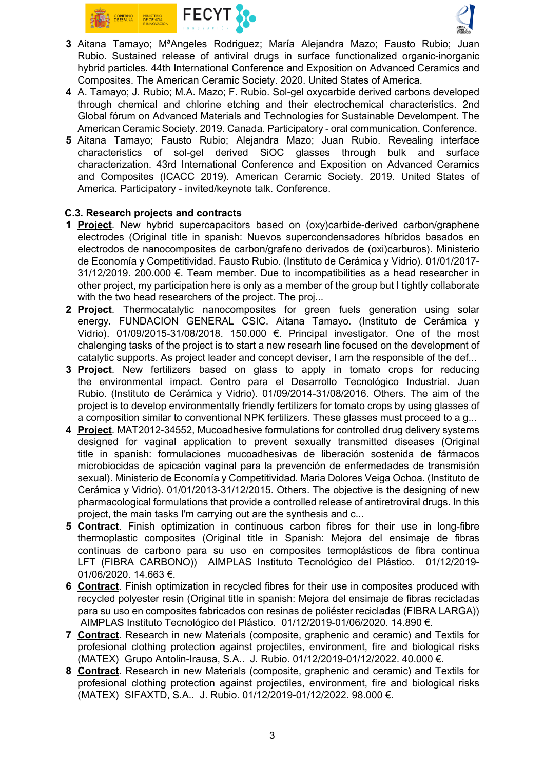



- 3 Aitana Tamayo; MªAngeles Rodriguez; María Alejandra Mazo; Fausto Rubio; Juan Rubio. Sustained release of antiviral drugs in surface functionalized organic-inorganic hybrid particles. 44th International Conference and Exposition on Advanced Ceramics and Composites. The American Ceramic Society. 2020. United States of America.
- 4 A. Tamayo; J. Rubio; M.A. Mazo; F. Rubio. Sol-gel oxycarbide derived carbons developed through chemical and chlorine etching and their electrochemical characteristics. 2nd Global fórum on Advanced Materials and Technologies for Sustainable Develompent. The American Ceramic Society. 2019. Canada. Participatory - oral communication. Conference.
- 5 Aitana Tamayo; Fausto Rubio; Alejandra Mazo; Juan Rubio. Revealing interface characteristics of sol-gel derived SiOC glasses through bulk and surface characterization. 43rd International Conference and Exposition on Advanced Ceramics and Composites (ICACC 2019). American Ceramic Society. 2019. United States of America. Participatory - invited/keynote talk. Conference.

## C.3. Research projects and contracts

- 1 **Project**. New hybrid supercapacitors based on (oxy)carbide-derived carbon/graphene electrodes (Original title in spanish: Nuevos supercondensadores híbridos basados en electrodos de nanocomposites de carbon/grafeno derivados de (oxi)carburos). Ministerio de Economía y Competitividad. Fausto Rubio. (Instituto de Cerámica y Vidrio). 01/01/2017- 31/12/2019. 200.000 €. Team member. Due to incompatibilities as a head researcher in other project, my participation here is only as a member of the group but I tightly collaborate with the two head researchers of the project. The proj...
- 2 Project. Thermocatalytic nanocomposites for green fuels generation using solar energy. FUNDACION GENERAL CSIC. Aitana Tamayo. (Instituto de Cerámica y Vidrio).  $01/09/2015-31/08/2018$ . 150.000 €. Principal investigator. One of the most chalenging tasks of the project is to start a new researh line focused on the development of catalytic supports. As project leader and concept deviser, I am the responsible of the def...
- 3 Project. New fertilizers based on glass to apply in tomato crops for reducing the environmental impact. Centro para el Desarrollo Tecnológico Industrial. Juan Rubio. (Instituto de Cerámica y Vidrio). 01/09/2014-31/08/2016. Others. The aim of the project is to develop environmentally friendly fertilizers for tomato crops by using glasses of a composition similar to conventional NPK fertilizers. These glasses must proceed to a g...
- 4 Project. MAT2012-34552, Mucoadhesive formulations for controlled drug delivery systems designed for vaginal application to prevent sexually transmitted diseases (Original title in spanish: formulaciones mucoadhesivas de liberación sostenida de fármacos microbiocidas de apicación vaginal para la prevención de enfermedades de transmisión sexual). Ministerio de Economía y Competitividad. Maria Dolores Veiga Ochoa. (Instituto de Cerámica y Vidrio). 01/01/2013-31/12/2015. Others. The objective is the designing of new pharmacological formulations that provide a controlled release of antiretroviral drugs. In this project, the main tasks I'm carrying out are the synthesis and c...
- 5 Contract. Finish optimization in continuous carbon fibres for their use in long-fibre thermoplastic composites (Original title in Spanish: Mejora del ensimaje de fibras continuas de carbono para su uso en composites termoplásticos de fibra continua LFT (FIBRA CARBONO)) AIMPLAS Instituto Tecnológico del Plástico. 01/12/2019- 01/06/2020. 14.663 €.
- 6 Contract. Finish optimization in recycled fibres for their use in composites produced with recycled polyester resin (Original title in spanish: Mejora del ensimaje de fibras recicladas para su uso en composites fabricados con resinas de poliéster recicladas (FIBRA LARGA)) AIMPLAS Instituto Tecnológico del Plástico. 01/12/2019-01/06/2020. 14.890 €.
- 7 Contract. Research in new Materials (composite, graphenic and ceramic) and Textils for profesional clothing protection against projectiles, environment, fire and biological risks (MATEX) Grupo Antolin-Irausa, S.A.. J. Rubio. 01/12/2019-01/12/2022. 40.000 €.
- 8 Contract. Research in new Materials (composite, graphenic and ceramic) and Textils for profesional clothing protection against projectiles, environment, fire and biological risks (MATEX) SIFAXTD, S.A.. J. Rubio. 01/12/2019-01/12/2022. 98.000 €.